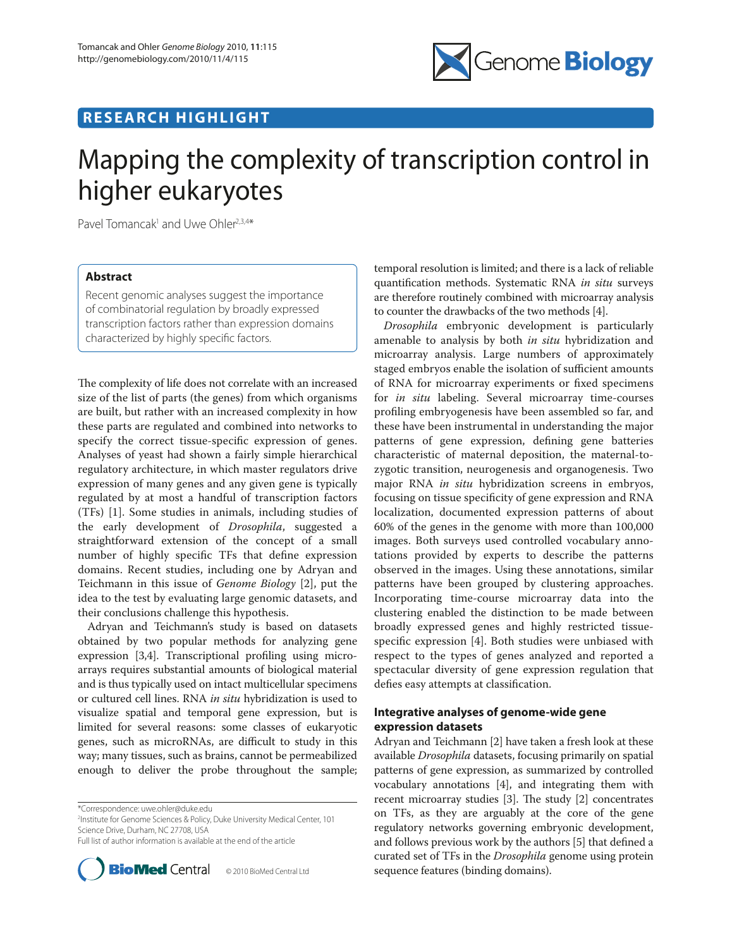

## **RESEARCH HIGHLIGHT**

# Mapping the complexity of transcription control in higher eukaryotes

Pavel Tomancak<sup>1</sup> and Uwe Ohler<sup>2,3,4\*</sup>

## **Abstract**

Recent genomic analyses suggest the importance of combinatorial regulation by broadly expressed transcription factors rather than expression domains characterized by highly specific factors.

The complexity of life does not correlate with an increased size of the list of parts (the genes) from which organisms are built, but rather with an increased complexity in how these parts are regulated and combined into networks to specify the correct tissue-specific expression of genes. Analyses of yeast had shown a fairly simple hierarchical regulatory architecture, in which master regulators drive expression of many genes and any given gene is typically regulated by at most a handful of transcription factors (TFs) [1]. Some studies in animals, including studies of the early development of *Drosophila*, suggested a straightforward extension of the concept of a small number of highly specific TFs that define expression domains. Recent studies, including one by Adryan and Teichmann in this issue of *Genome Biology* [2], put the idea to the test by evaluating large genomic datasets, and their conclusions challenge this hypothesis.

Adryan and Teichmann's study is based on datasets obtained by two popular methods for analyzing gene expression [3,4]. Transcriptional profiling using microarrays requires substantial amounts of biological material and is thus typically used on intact multicellular specimens or cultured cell lines. RNA *in situ* hybridization is used to visualize spatial and temporal gene expression, but is limited for several reasons: some classes of eukaryotic genes, such as microRNAs, are difficult to study in this way; many tissues, such as brains, cannot be permeabilized enough to deliver the probe throughout the sample;

\*Correspondence: uwe.ohler@duke.edu

2 Institute for Genome Sciences & Policy, Duke University Medical Center, 101 Science Drive, Durham, NC 27708, USA

Full list of author information is available at the end of the article



temporal resolution is limited; and there is a lack of reliable quantification methods. Systematic RNA *in situ* surveys are therefore routinely combined with microarray analysis to counter the drawbacks of the two methods [4].

*Drosophila* embryonic development is particularly amenable to analysis by both *in situ* hybridization and microarray analysis. Large numbers of approximately staged embryos enable the isolation of sufficient amounts of RNA for microarray experiments or fixed specimens for *in situ* labeling. Several microarray time-courses profiling embryogenesis have been assembled so far, and these have been instrumental in understanding the major patterns of gene expression, defining gene batteries characteristic of maternal deposition, the maternal-tozygotic transition, neurogenesis and organogenesis. Two major RNA *in situ* hybridization screens in embryos, focusing on tissue specificity of gene expression and RNA localization, documented expression patterns of about 60% of the genes in the genome with more than 100,000 images. Both surveys used controlled vocabulary annotations provided by experts to describe the patterns observed in the images. Using these annotations, similar patterns have been grouped by clustering approaches. Incorporating time-course microarray data into the clustering enabled the distinction to be made between broadly expressed genes and highly restricted tissuespecific expression [4]. Both studies were unbiased with respect to the types of genes analyzed and reported a spectacular diversity of gene expression regulation that defies easy attempts at classification.

## **Integrative analyses of genome-wide gene expression datasets**

Adryan and Teichmann [2] have taken a fresh look at these available *Drosophila* datasets, focusing primarily on spatial patterns of gene expression, as summarized by controlled vocabulary annotations [4], and integrating them with recent microarray studies  $[3]$ . The study  $[2]$  concentrates on TFs, as they are arguably at the core of the gene regulatory networks governing embryonic development, and follows previous work by the authors [5] that defined a curated set of TFs in the *Drosophila* genome using protein sequence features (binding domains).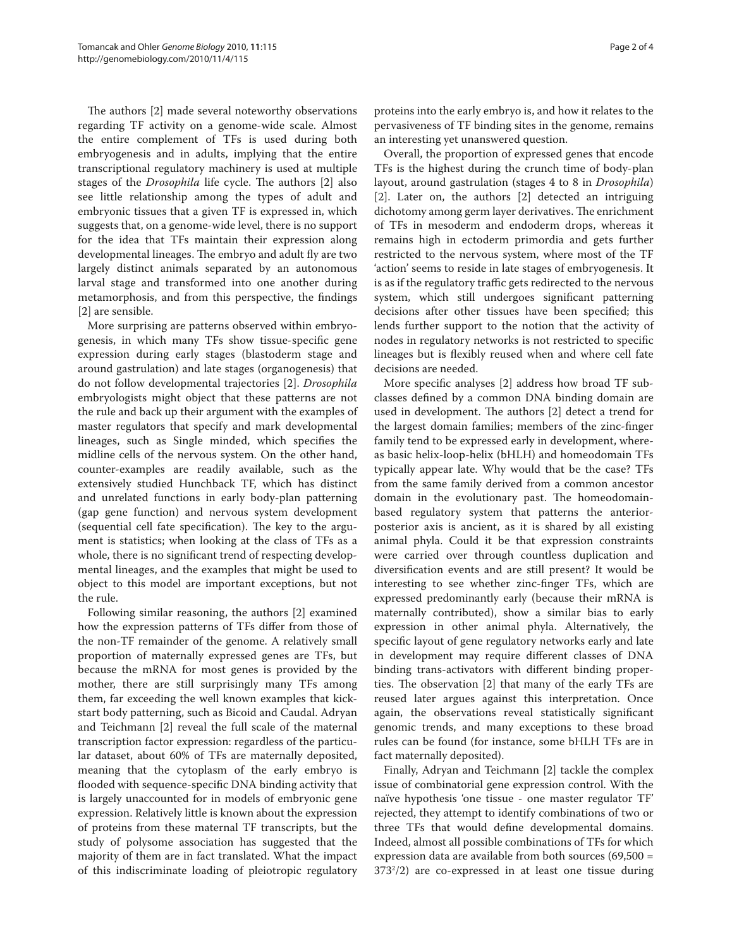The authors [2] made several noteworthy observations regarding TF activity on a genome-wide scale. Almost the entire complement of TFs is used during both embryogenesis and in adults, implying that the entire transcriptional regulatory machinery is used at multiple stages of the *Drosophila* life cycle. The authors [2] also see little relationship among the types of adult and embryonic tissues that a given TF is expressed in, which suggests that, on a genome-wide level, there is no support for the idea that TFs maintain their expression along developmental lineages. The embryo and adult fly are two largely distinct animals separated by an autonomous larval stage and transformed into one another during metamorphosis, and from this perspective, the findings [2] are sensible.

More surprising are patterns observed within embryogenesis, in which many TFs show tissue-specific gene expression during early stages (blastoderm stage and around gastrulation) and late stages (organogenesis) that do not follow developmental trajectories [2]. *Drosophila* embryologists might object that these patterns are not the rule and back up their argument with the examples of master regulators that specify and mark developmental lineages, such as Single minded, which specifies the midline cells of the nervous system. On the other hand, counter-examples are readily available, such as the extensively studied Hunchback TF, which has distinct and unrelated functions in early body-plan patterning (gap gene function) and nervous system development (sequential cell fate specification). The key to the argument is statistics; when looking at the class of TFs as a whole, there is no significant trend of respecting developmental lineages, and the examples that might be used to object to this model are important exceptions, but not the rule.

Following similar reasoning, the authors [2] examined how the expression patterns of TFs differ from those of the non-TF remainder of the genome. A relatively small proportion of maternally expressed genes are TFs, but because the mRNA for most genes is provided by the mother, there are still surprisingly many TFs among them, far exceeding the well known examples that kickstart body patterning, such as Bicoid and Caudal. Adryan and Teichmann [2] reveal the full scale of the maternal transcription factor expression: regardless of the particular dataset, about 60% of TFs are maternally deposited, meaning that the cytoplasm of the early embryo is flooded with sequence-specific DNA binding activity that is largely unaccounted for in models of embryonic gene expression. Relatively little is known about the expression of proteins from these maternal TF transcripts, but the study of polysome association has suggested that the majority of them are in fact translated. What the impact of this indiscriminate loading of pleiotropic regulatory

proteins into the early embryo is, and how it relates to the pervasiveness of TF binding sites in the genome, remains an interesting yet unanswered question.

Overall, the proportion of expressed genes that encode TFs is the highest during the crunch time of body-plan layout, around gastrulation (stages 4 to 8 in *Drosophila*) [2]. Later on, the authors [2] detected an intriguing dichotomy among germ layer derivatives. The enrichment of TFs in mesoderm and endoderm drops, whereas it remains high in ectoderm primordia and gets further restricted to the nervous system, where most of the TF 'action' seems to reside in late stages of embryogenesis. It is as if the regulatory traffic gets redirected to the nervous system, which still undergoes significant patterning decisions after other tissues have been specified; this lends further support to the notion that the activity of nodes in regulatory networks is not restricted to specific lineages but is flexibly reused when and where cell fate decisions are needed.

More specific analyses [2] address how broad TF subclasses defined by a common DNA binding domain are used in development. The authors [2] detect a trend for the largest domain families; members of the zinc-finger family tend to be expressed early in development, whereas basic helix-loop-helix (bHLH) and homeodomain TFs typically appear late. Why would that be the case? TFs from the same family derived from a common ancestor domain in the evolutionary past. The homeodomainbased regulatory system that patterns the anteriorposterior axis is ancient, as it is shared by all existing animal phyla. Could it be that expression constraints were carried over through countless duplication and diversification events and are still present? It would be interesting to see whether zinc-finger TFs, which are expressed predominantly early (because their mRNA is maternally contributed), show a similar bias to early expression in other animal phyla. Alternatively, the specific layout of gene regulatory networks early and late in development may require different classes of DNA binding trans-activators with different binding properties. The observation [2] that many of the early TFs are reused later argues against this interpretation. Once again, the observations reveal statistically significant genomic trends, and many exceptions to these broad rules can be found (for instance, some bHLH TFs are in fact maternally deposited).

Finally, Adryan and Teichmann [2] tackle the complex issue of combinatorial gene expression control. With the naïve hypothesis 'one tissue - one master regulator TF' rejected, they attempt to identify combinations of two or three TFs that would define developmental domains. Indeed, almost all possible combinations of TFs for which expression data are available from both sources (69,500 = 3732 /2) are co-expressed in at least one tissue during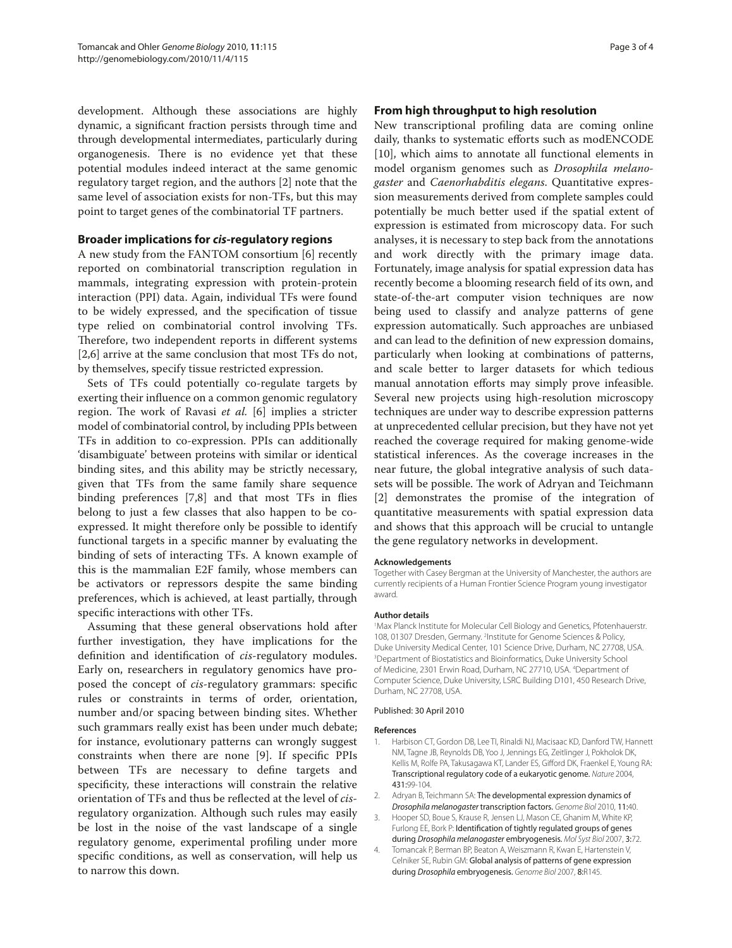development. Although these associations are highly dynamic, a significant fraction persists through time and through developmental intermediates, particularly during organogenesis. There is no evidence yet that these potential modules indeed interact at the same genomic regulatory target region, and the authors [2] note that the same level of association exists for non-TFs, but this may point to target genes of the combinatorial TF partners.

### **Broader implications for** *cis***-regulatory regions**

A new study from the FANTOM consortium [6] recently reported on combinatorial transcription regulation in mammals, integrating expression with protein-protein interaction (PPI) data. Again, individual TFs were found to be widely expressed, and the specification of tissue type relied on combinatorial control involving TFs. Therefore, two independent reports in different systems [2,6] arrive at the same conclusion that most TFs do not, by themselves, specify tissue restricted expression.

Sets of TFs could potentially co-regulate targets by exerting their influence on a common genomic regulatory region. The work of Ravasi *et al.* [6] implies a stricter model of combinatorial control, by including PPIs between TFs in addition to co-expression. PPIs can additionally 'disambiguate' between proteins with similar or identical binding sites, and this ability may be strictly necessary, given that TFs from the same family share sequence binding preferences [7,8] and that most TFs in flies belong to just a few classes that also happen to be coexpressed. It might therefore only be possible to identify functional targets in a specific manner by evaluating the binding of sets of interacting TFs. A known example of this is the mammalian E2F family, whose members can be activators or repressors despite the same binding preferences, which is achieved, at least partially, through specific interactions with other TFs.

Assuming that these general observations hold after further investigation, they have implications for the definition and identification of *cis*-regulatory modules. Early on, researchers in regulatory genomics have proposed the concept of *cis*-regulatory grammars: specific rules or constraints in terms of order, orientation, number and/or spacing between binding sites. Whether such grammars really exist has been under much debate; for instance, evolutionary patterns can wrongly suggest constraints when there are none [9]. If specific PPIs between TFs are necessary to define targets and specificity, these interactions will constrain the relative orientation of TFs and thus be reflected at the level of *cis*regulatory organization. Although such rules may easily be lost in the noise of the vast landscape of a single regulatory genome, experimental profiling under more specific conditions, as well as conservation, will help us to narrow this down.

## **From high throughput to high resolution**

New transcriptional profiling data are coming online daily, thanks to systematic efforts such as modENCODE [10], which aims to annotate all functional elements in model organism genomes such as *Drosophila melanogaster* and *Caenorhabditis elegans*. Quantitative expression measurements derived from complete samples could potentially be much better used if the spatial extent of expression is estimated from microscopy data. For such analyses, it is necessary to step back from the annotations and work directly with the primary image data. Fortunately, image analysis for spatial expression data has recently become a blooming research field of its own, and state-of-the-art computer vision techniques are now being used to classify and analyze patterns of gene expression automatically. Such approaches are unbiased and can lead to the definition of new expression domains, particularly when looking at combinations of patterns, and scale better to larger datasets for which tedious manual annotation efforts may simply prove infeasible. Several new projects using high-resolution microscopy techniques are under way to describe expression patterns at unprecedented cellular precision, but they have not yet reached the coverage required for making genome-wide statistical inferences. As the coverage increases in the near future, the global integrative analysis of such datasets will be possible. The work of Adryan and Teichmann [2] demonstrates the promise of the integration of quantitative measurements with spatial expression data and shows that this approach will be crucial to untangle the gene regulatory networks in development.

#### **Acknowledgements**

Together with Casey Bergman at the University of Manchester, the authors are currently recipients of a Human Frontier Science Program young investigator award.

#### **Author details**

1 Max Planck Institute for Molecular Cell Biology and Genetics, Pfotenhauerstr. 108, 01307 Dresden, Germany. <sup>2</sup>Institute for Genome Sciences & Policy, Duke University Medical Center, 101 Science Drive, Durham, NC 27708, USA. 3 Department of Biostatistics and Bioinformatics, Duke University School of Medicine, 2301 Erwin Road, Durham, NC 27710, USA. <sup>4</sup>Department of Computer Science, Duke University, LSRC Building D101, 450 Research Drive, Durham, NC 27708, USA.

#### Published: 30 April 2010

#### **References**

- 1. Harbison CT, Gordon DB, Lee TI, Rinaldi NJ, Macisaac KD, Danford TW, Hannett NM, Tagne JB, Reynolds DB, Yoo J, Jennings EG, Zeitlinger J, Pokholok DK, Kellis M, Rolfe PA, Takusagawa KT, Lander ES, Gifford DK, Fraenkel E, Young RA: Transcriptional regulatory code of a eukaryotic genome. *Nature* 2004, 431:99-104.
- 2. Adryan B, Teichmann SA: The developmental expression dynamics of *Drosophila melanogaster* transcription factors. *Genome Biol* 2010, 11:40.
- 3. Hooper SD, Boue S, Krause R, Jensen LJ, Mason CE, Ghanim M, White KP, Furlong EE, Bork P: Identification of tightly regulated groups of genes during *Drosophila melanogaster* embryogenesis. *Mol Syst Biol* 2007, 3:72.
- Tomancak P, Berman BP, Beaton A, Weiszmann R, Kwan E, Hartenstein V, Celniker SE, Rubin GM: Global analysis of patterns of gene expression during *Drosophila* embryogenesis. *Genome Biol* 2007, 8:R145.